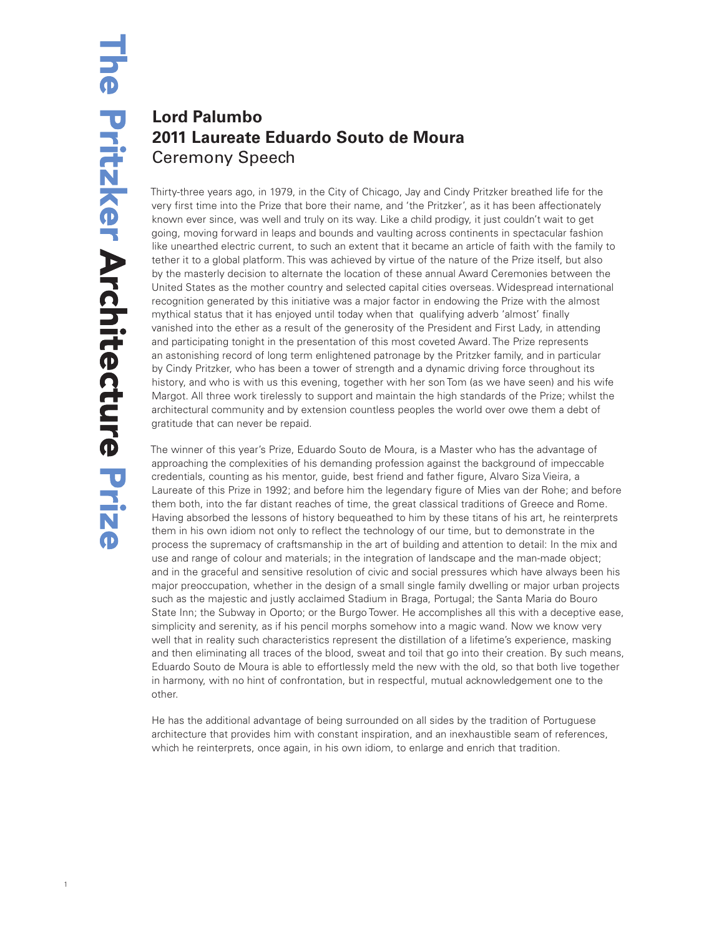## **Lord Palumbo 2011 Laureate Eduardo Souto de Moura** Ceremony Speech

Thirty-three years ago, in 1979, in the City of Chicago, Jay and Cindy Pritzker breathed life for the very first time into the Prize that bore their name, and 'the Pritzker', as it has been affectionately known ever since, was well and truly on its way. Like a child prodigy, it just couldn't wait to get going, moving forward in leaps and bounds and vaulting across continents in spectacular fashion like unearthed electric current, to such an extent that it became an article of faith with the family to tether it to a global platform. This was achieved by virtue of the nature of the Prize itself, but also by the masterly decision to alternate the location of these annual Award Ceremonies between the United States as the mother country and selected capital cities overseas. Widespread international recognition generated by this initiative was a major factor in endowing the Prize with the almost mythical status that it has enjoyed until today when that qualifying adverb 'almost' finally vanished into the ether as a result of the generosity of the President and First Lady, in attending and participating tonight in the presentation of this most coveted Award. The Prize represents an astonishing record of long term enlightened patronage by the Pritzker family, and in particular by Cindy Pritzker, who has been a tower of strength and a dynamic driving force throughout its history, and who is with us this evening, together with her son Tom (as we have seen) and his wife Margot. All three work tirelessly to support and maintain the high standards of the Prize; whilst the architectural community and by extension countless peoples the world over owe them a debt of gratitude that can never be repaid.

The winner of this year's Prize, Eduardo Souto de Moura, is a Master who has the advantage of approaching the complexities of his demanding profession against the background of impeccable credentials, counting as his mentor, guide, best friend and father figure, Alvaro Siza Vieira, a Laureate of this Prize in 1992; and before him the legendary figure of Mies van der Rohe; and before them both, into the far distant reaches of time, the great classical traditions of Greece and Rome. Having absorbed the lessons of history bequeathed to him by these titans of his art, he reinterprets them in his own idiom not only to reflect the technology of our time, but to demonstrate in the process the supremacy of craftsmanship in the art of building and attention to detail: In the mix and use and range of colour and materials; in the integration of landscape and the man-made object; and in the graceful and sensitive resolution of civic and social pressures which have always been his major preoccupation, whether in the design of a small single family dwelling or major urban projects such as the majestic and justly acclaimed Stadium in Braga, Portugal; the Santa Maria do Bouro State Inn; the Subway in Oporto; or the Burgo Tower. He accomplishes all this with a deceptive ease, simplicity and serenity, as if his pencil morphs somehow into a magic wand. Now we know very well that in reality such characteristics represent the distillation of a lifetime's experience, masking and then eliminating all traces of the blood, sweat and toil that go into their creation. By such means, Eduardo Souto de Moura is able to effortlessly meld the new with the old, so that both live together in harmony, with no hint of confrontation, but in respectful, mutual acknowledgement one to the other.

He has the additional advantage of being surrounded on all sides by the tradition of Portuguese architecture that provides him with constant inspiration, and an inexhaustible seam of references, which he reinterprets, once again, in his own idiom, to enlarge and enrich that tradition.